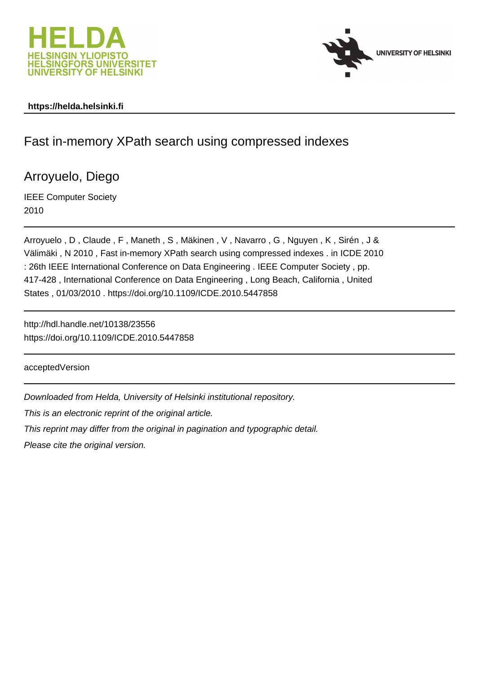



# **https://helda.helsinki.fi**

# Fast in-memory XPath search using compressed indexes

Arroyuelo, Diego

IEEE Computer Society 2010

Arroyuelo , D , Claude , F , Maneth , S , Mäkinen , V , Navarro , G , Nguyen , K , Sirén , J & Välimäki , N 2010 , Fast in-memory XPath search using compressed indexes . in ICDE 2010 : 26th IEEE International Conference on Data Engineering . IEEE Computer Society , pp. 417-428 , International Conference on Data Engineering , Long Beach, California , United States , 01/03/2010 . https://doi.org/10.1109/ICDE.2010.5447858

http://hdl.handle.net/10138/23556 https://doi.org/10.1109/ICDE.2010.5447858

acceptedVersion

Downloaded from Helda, University of Helsinki institutional repository.

This is an electronic reprint of the original article.

This reprint may differ from the original in pagination and typographic detail.

Please cite the original version.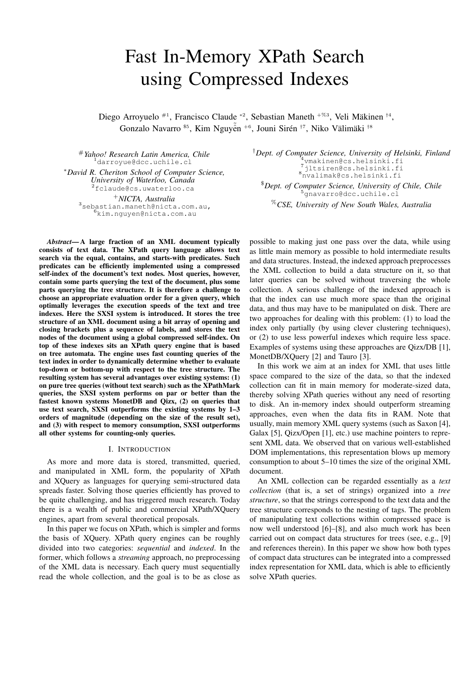# Fast In-Memory XPath Search using Compressed Indexes

Diego Arroyuelo <sup>#1</sup>, Francisco Claude <sup>\*2</sup>, Sebastian Maneth <sup>+%3</sup>, Veli Mäkinen <sup>†4</sup>, Gonzalo Navarro <sup>\$5</sup>, Kim Nguyễn <sup>+6</sup>, Jouni Sirén <sup>†7</sup>, Niko Välimäki <sup>†8</sup>

#*Yahoo! Research Latin America, Chile* darroyue@dcc.uchile.cl <sup>∗</sup>*David R. Cheriton School of Computer Science, University of Waterloo, Canada* <sup>2</sup>fclaude@cs.uwaterloo.ca <sup>+</sup>*NICTA, Australia* <sup>3</sup>sebastian.maneth@nicta.com.au,  $6$ kim.nguyen@nicta.com.au

*Abstract***— A large fraction of an XML document typically consists of text data. The XPath query language allows text search via the equal, contains, and starts-with predicates. Such predicates can be efficiently implemented using a compressed self-index of the document's text nodes. Most queries, however, contain some parts querying the text of the document, plus some parts querying the tree structure. It is therefore a challenge to choose an appropriate evaluation order for a given query, which optimally leverages the execution speeds of the text and tree indexes. Here the SXSI system is introduced. It stores the tree structure of an XML document using a bit array of opening and closing brackets plus a sequence of labels, and stores the text nodes of the document using a global compressed self-index. On top of these indexes sits an XPath query engine that is based on tree automata. The engine uses fast counting queries of the text index in order to dynamically determine whether to evaluate top-down or bottom-up with respect to the tree structure. The resulting system has several advantages over existing systems: (1) on pure tree queries (without text search) such as the XPathMark queries, the SXSI system performs on par or better than the fastest known systems MonetDB and Qizx, (2) on queries that use text search, SXSI outperforms the existing systems by 1–3 orders of magnitude (depending on the size of the result set), and (3) with respect to memory consumption, SXSI outperforms all other systems for counting-only queries.**

#### I. INTRODUCTION

As more and more data is stored, transmitted, queried, and manipulated in XML form, the popularity of XPath and XQuery as languages for querying semi-structured data spreads faster. Solving those queries efficiently has proved to be quite challenging, and has triggered much research. Today there is a wealth of public and commercial XPath/XQuery engines, apart from several theoretical proposals.

In this paper we focus on XPath, which is simpler and forms the basis of XQuery. XPath query engines can be roughly divided into two categories: *sequential* and *indexed*. In the former, which follows a *streaming* approach, no preprocessing of the XML data is necessary. Each query must sequentially read the whole collection, and the goal is to be as close as

†*Dept. of Computer Science, University of Helsinki, Finland* vmakinen@cs.helsinki.fi jltsiren@cs.helsinki.fi nvalimak@cs.helsinki.fi

\$*Dept. of Computer Science, University of Chile, Chile* <sup>5</sup>gnavarro@dcc.uchile.cl %*CSE, University of New South Wales, Australia*

possible to making just one pass over the data, while using as little main memory as possible to hold intermediate results and data structures. Instead, the indexed approach preprocesses the XML collection to build a data structure on it, so that later queries can be solved without traversing the whole collection. A serious challenge of the indexed approach is that the index can use much more space than the original data, and thus may have to be manipulated on disk. There are two approaches for dealing with this problem: (1) to load the index only partially (by using clever clustering techniques), or (2) to use less powerful indexes which require less space. Examples of systems using these approaches are Qizx/DB [1], MonetDB/XQuery [2] and Tauro [3].

In this work we aim at an index for XML that uses little space compared to the size of the data, so that the indexed collection can fit in main memory for moderate-sized data, thereby solving XPath queries without any need of resorting to disk. An in-memory index should outperform streaming approaches, even when the data fits in RAM. Note that usually, main memory XML query systems (such as Saxon [4], Galax [5], Qizx/Open [1], etc.) use machine pointers to represent XML data. We observed that on various well-established DOM implementations, this representation blows up memory consumption to about 5–10 times the size of the original XML document.

An XML collection can be regarded essentially as a *text collection* (that is, a set of strings) organized into a *tree structure*, so that the strings correspond to the text data and the tree structure corresponds to the nesting of tags. The problem of manipulating text collections within compressed space is now well understood [6]–[8], and also much work has been carried out on compact data structures for trees (see, e.g., [9] and references therein). In this paper we show how both types of compact data structures can be integrated into a compressed index representation for XML data, which is able to efficiently solve XPath queries.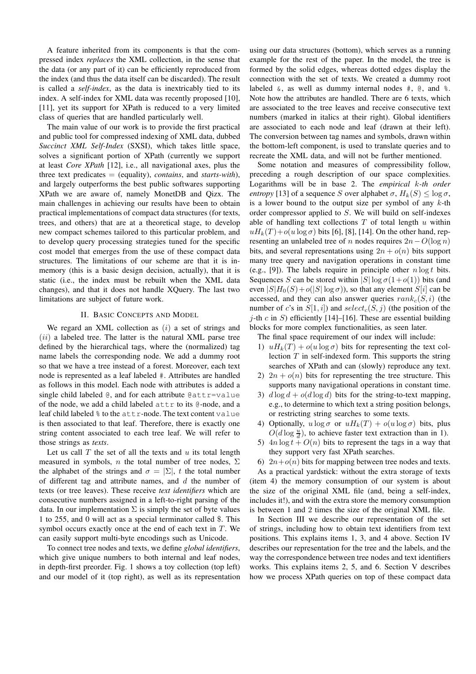A feature inherited from its components is that the compressed index *replaces* the XML collection, in the sense that the data (or any part of it) can be efficiently reproduced from the index (and thus the data itself can be discarded). The result is called a *self-index*, as the data is inextricably tied to its index. A self-index for XML data was recently proposed [10], [11], yet its support for XPath is reduced to a very limited class of queries that are handled particularly well.

The main value of our work is to provide the first practical and public tool for compressed indexing of XML data, dubbed *Succinct XML Self-Index* (SXSI), which takes little space, solves a significant portion of XPath (currently we support at least *Core XPath* [12], i.e., all navigational axes, plus the three text predicates = (equality), *contains*, and *starts-with*), and largely outperforms the best public softwares supporting XPath we are aware of, namely MonetDB and Qizx. The main challenges in achieving our results have been to obtain practical implementations of compact data structures (for texts, trees, and others) that are at a theoretical stage, to develop new compact schemes tailored to this particular problem, and to develop query processing strategies tuned for the specific cost model that emerges from the use of these compact data structures. The limitations of our scheme are that it is inmemory (this is a basic design decision, actually), that it is static (i.e., the index must be rebuilt when the XML data changes), and that it does not handle XQuery. The last two limitations are subject of future work.

#### II. BASIC CONCEPTS AND MODEL

We regard an XML collection as  $(i)$  a set of strings and  $(ii)$  a labeled tree. The latter is the natural XML parse tree defined by the hierarchical tags, where the (normalized) tag name labels the corresponding node. We add a dummy root so that we have a tree instead of a forest. Moreover, each text node is represented as a leaf labeled #. Attributes are handled as follows in this model. Each node with attributes is added a single child labeled  $\theta$ , and for each attribute  $\theta$  attribute of the node, we add a child labeled attr to its @-node, and a leaf child labeled % to the attr-node. The text content value is then associated to that leaf. Therefore, there is exactly one string content associated to each tree leaf. We will refer to those strings as *texts*.

Let us call  $T$  the set of all the texts and  $u$  its total length measured in symbols, *n* the total number of tree nodes,  $\Sigma$ the alphabet of the strings and  $\sigma = |\Sigma|$ , t the total number of different tag and attribute names, and  $d$  the number of texts (or tree leaves). These receive *text identifiers* which are consecutive numbers assigned in a left-to-right parsing of the data. In our implementation  $\Sigma$  is simply the set of byte values 1 to 255, and 0 will act as a special terminator called \$. This symbol occurs exactly once at the end of each text in  $T$ . We can easily support multi-byte encodings such as Unicode.

To connect tree nodes and texts, we define *global identifiers*, which give unique numbers to both internal and leaf nodes, in depth-first preorder. Fig. 1 shows a toy collection (top left) and our model of it (top right), as well as its representation using our data structures (bottom), which serves as a running example for the rest of the paper. In the model, the tree is formed by the solid edges, whereas dotted edges display the connection with the set of texts. We created a dummy root labeled  $\&$ , as well as dummy internal nodes #,  $\&$ , and  $\&$ . Note how the attributes are handled. There are 6 texts, which are associated to the tree leaves and receive consecutive text numbers (marked in italics at their right). Global identifiers are associated to each node and leaf (drawn at their left). The conversion between tag names and symbols, drawn within the bottom-left component, is used to translate queries and to recreate the XML data, and will not be further mentioned.

Some notation and measures of compressibility follow, preceding a rough description of our space complexities. Logarithms will be in base 2. The *empirical* k*-th order entropy* [13] of a sequence S over alphabet  $\sigma$ ,  $H_k(S) \leq \log \sigma$ , is a lower bound to the output size per symbol of any  $k$ -th order compressor applied to S. We will build on self-indexes able of handling text collections  $T$  of total length  $u$  within  $uH_k(T)+o(u \log \sigma)$  bits [6], [8], [14]. On the other hand, representing an unlabeled tree of n nodes requires  $2n - O(\log n)$ bits, and several representations using  $2n + o(n)$  bits support many tree query and navigation operations in constant time (e.g., [9]). The labels require in principle other  $n \log t$  bits. Sequences S can be stored within  $|S| \log \sigma(1+o(1))$  bits (and even  $|S|H_0(S)+o(|S|\log\sigma)$ , so that any element  $S[i]$  can be accessed, and they can also answer queries  $rank_c(S, i)$  (the number of c's in  $S[1, i]$ ) and  $select_c(S, j)$  (the position of the j-th c in S) efficiently [14]–[16]. These are essential building blocks for more complex functionalities, as seen later.

The final space requirement of our index will include:

- 1)  $uH_k(T) + o(u \log \sigma)$  bits for representing the text collection  $T$  in self-indexed form. This supports the string searches of XPath and can (slowly) reproduce any text.
- 2)  $2n + o(n)$  bits for representing the tree structure. This supports many navigational operations in constant time.
- 3)  $d \log d + o(d \log d)$  bits for the string-to-text mapping, e.g., to determine to which text a string position belongs, or restricting string searches to some texts.
- 4) Optionally,  $u \log \sigma$  or  $uH_k(T) + o(u \log \sigma)$  bits, plus  $O(d \log \frac{u}{d})$ , to achieve faster text extraction than in 1).
- 5)  $4n \log t + O(n)$  bits to represent the tags in a way that they support very fast XPath searches.
- 6)  $2n+o(n)$  bits for mapping between tree nodes and texts.

As a practical yardstick: without the extra storage of texts (item 4) the memory consumption of our system is about the size of the original XML file (and, being a self-index, includes it!), and with the extra store the memory consumption is between 1 and 2 times the size of the original XML file.

In Section III we describe our representation of the set of strings, including how to obtain text identifiers from text positions. This explains items 1, 3, and 4 above. Section IV describes our representation for the tree and the labels, and the way the correspondence between tree nodes and text identifiers works. This explains items 2, 5, and 6. Section V describes how we process XPath queries on top of these compact data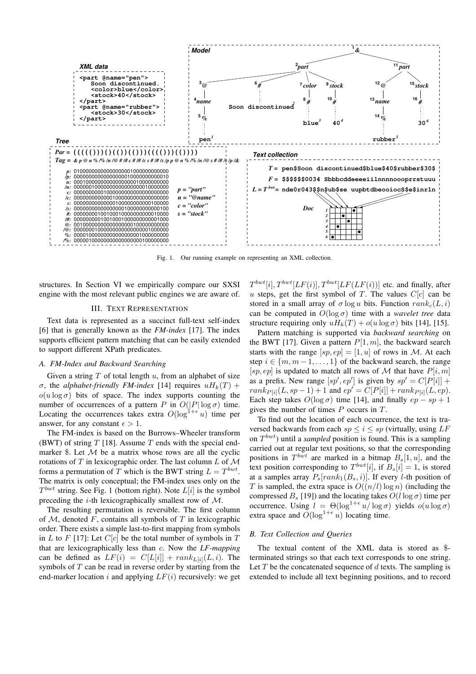

Fig. 1. Our running example on representing an XML collection.

structures. In Section VI we empirically compare our SXSI engine with the most relevant public engines we are aware of.

# III. TEXT REPRESENTATION

Text data is represented as a succinct full-text self-index [6] that is generally known as the *FM-index* [17]. The index supports efficient pattern matching that can be easily extended to support different XPath predicates.

# *A. FM-Index and Backward Searching*

Given a string  $T$  of total length  $u$ , from an alphabet of size σ, the *alphabet-friendly FM-index* [14] requires  $uH_k(T)$  +  $o(u \log \sigma)$  bits of space. The index supports counting the number of occurrences of a pattern P in  $O(|P| \log \sigma)$  time. Locating the occurrences takes extra  $O(\log^{1+\epsilon} u)$  time per answer, for any constant  $\epsilon > 1$ .

The FM-index is based on the Burrows–Wheeler transform (BWT) of string  $T$  [18]. Assume  $T$  ends with the special endmarker \$. Let  $M$  be a matrix whose rows are all the cyclic rotations of  $T$  in lexicographic order. The last column  $L$  of  $M$ forms a permutation of T which is the BWT string  $L = T^{bwt}$ . The matrix is only conceptual; the FM-index uses only on the  $T^{bwt}$  string. See Fig. 1 (bottom right). Note  $L[i]$  is the symbol preceding the *i*-th lexicographically smallest row of  $M$ .

The resulting permutation is reversible. The first column of  $M$ , denoted  $F$ , contains all symbols of  $T$  in lexicographic order. There exists a simple last-to-first mapping from symbols in L to F [17]: Let  $C[c]$  be the total number of symbols in T that are lexicographically less than c. Now the *LF-mapping* can be defined as  $LF(i) = C[L[i]] + rank_{L[i]}(L, i)$ . The symbols of  $T$  can be read in reverse order by starting from the end-marker location i and applying  $LF(i)$  recursively: we get

 $T^{bwt}[i], T^{bwt}[LF(i)], T^{bwt}[LF(LF(i))]$  etc. and finally, after u steps, get the first symbol of T. The values  $C[c]$  can be stored in a small array of  $\sigma \log u$  bits. Function  $rank_c(L, i)$ can be computed in  $O(\log \sigma)$  time with a *wavelet tree* data structure requiring only  $uH_k(T) + o(u \log \sigma)$  bits [14], [15].

Pattern matching is supported via *backward searching* on the BWT [17]. Given a pattern  $P[1, m]$ , the backward search starts with the range  $[sp, ep] = [1, u]$  of rows in M. At each step  $i \in \{m, m-1, \ldots, 1\}$  of the backward search, the range [sp, ep] is updated to match all rows of  $M$  that have  $P[i, m]$ as a prefix. New range  $[sp', ep']$  is given by  $sp' = C[P[i]] +$  $rank_{P[i]}(L, sp-1) + 1$  and  $ep' = C[P[i]] + rank_{P[i]}(L, ep)$ . Each step takes  $O(\log \sigma)$  time [14], and finally  $ep - sp + 1$ gives the number of times  $P$  occurs in  $T$ .

To find out the location of each occurrence, the text is traversed backwards from each  $sp \le i \le sp$  (virtually, using LF on T bwt) until a *sampled* position is found. This is a sampling carried out at regular text positions, so that the corresponding positions in  $T^{bwt}$  are marked in a bitmap  $B_s[1, u]$ , and the text position corresponding to  $T^{bwt}[i]$ , if  $B_s[i] = 1$ , is stored at a samples array  $P_s[rank_1(B_s, i)]$ . If every *l*-th position of T is sampled, the extra space is  $O((n/l) \log n)$  (including the compressed  $B_s$  [19]) and the locating takes  $O(l \log \sigma)$  time per occurrence. Using  $l = \Theta(\log^{1+\epsilon} u/\log \sigma)$  yields  $o(u \log \sigma)$ extra space and  $O(\log^{1+\epsilon} u)$  locating time.

# *B. Text Collection and Queries*

The textual content of the XML data is stored as \$ terminated strings so that each text corresponds to one string. Let  $T$  be the concatenated sequence of  $d$  texts. The sampling is extended to include all text beginning positions, and to record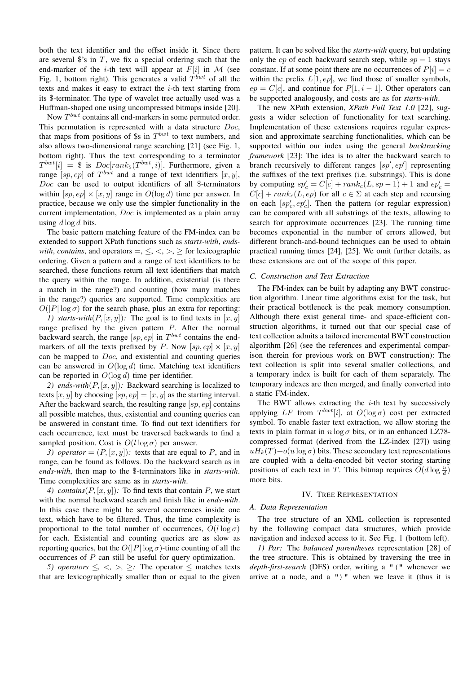both the text identifier and the offset inside it. Since there are several  $\hat{s}$ 's in  $T$ , we fix a special ordering such that the end-marker of the *i*-th text will appear at  $F[i]$  in M (see Fig. 1, bottom right). This generates a valid  $T^{bwt}$  of all the texts and makes it easy to extract the  $i$ -th text starting from its \$-terminator. The type of wavelet tree actually used was a Huffman-shaped one using uncompressed bitmaps inside [20].

Now  $T^{bwt}$  contains all end-markers in some permuted order. This permutation is represented with a data structure Doc, that maps from positions of \$s in  $T^{bwt}$  to text numbers, and also allows two-dimensional range searching [21] (see Fig. 1, bottom right). Thus the text corresponding to a terminator  $T^{bwt}[i] =$  \$ is  $Doc[rank_{\$}(T^{bwt}, i)]$ . Furthermore, given a range [ $sp, ep$ ] of  $T^{bwt}$  and a range of text identifiers [x, y], Doc can be used to output identifiers of all \$-terminators within  $[sp, ep] \times [x, y]$  range in  $O(\log d)$  time per answer. In practice, because we only use the simpler functionality in the current implementation, Doc is implemented as a plain array using  $d \log d$  bits.

The basic pattern matching feature of the FM-index can be extended to support XPath functions such as *starts-with*, *endswith, contains, and operators =,*  $\leq$ *,*  $\lt$ *,*  $\gt$ *,*  $\geq$  *for lexicographic* ordering. Given a pattern and a range of text identifiers to be searched, these functions return all text identifiers that match the query within the range. In addition, existential (is there a match in the range?) and counting (how many matches in the range?) queries are supported. Time complexities are  $O(|P| \log \sigma)$  for the search phase, plus an extra for reporting:

*1) starts-with* $(P, [x, y])$ : The goal is to find texts in  $[x, y]$ range prefixed by the given pattern  $P$ . After the normal backward search, the range  $[sp, ep]$  in  $T^{bwt}$  contains the endmarkers of all the texts prefixed by P. Now  $[sp, ep] \times [x, y]$ can be mapped to Doc, and existential and counting queries can be answered in  $O(\log d)$  time. Matching text identifiers can be reported in  $O(\log d)$  time per identifier.

2) ends-with $(P, [x, y])$ : Backward searching is localized to texts  $[x, y]$  by choosing  $[sp, ep] = [x, y]$  as the starting interval. After the backward search, the resulting range  $[sp, ep]$  contains all possible matches, thus, existential and counting queries can be answered in constant time. To find out text identifiers for each occurrence, text must be traversed backwards to find a sampled position. Cost is  $O(l \log \sigma)$  per answer.

*3) operator* =  $(P, [x, y])$ : texts that are equal to P, and in range, can be found as follows. Do the backward search as in *ends-with*, then map to the \$-terminators like in *starts-with*. Time complexities are same as in *starts-with*.

*4) contains* $(P, [x, y])$ : To find texts that contain P, we start with the normal backward search and finish like in *ends-with*. In this case there might be several occurrences inside one text, which have to be filtered. Thus, the time complexity is proportional to the total number of occurrences,  $O(l \log \sigma)$ for each. Existential and counting queries are as slow as reporting queries, but the  $O(|P| \log \sigma)$ -time counting of all the occurrences of P can still be useful for query optimization.

*5) operators*  $\leq, \leq, \geq, \geq$ : The operator  $\leq$  matches texts that are lexicographically smaller than or equal to the given

pattern. It can be solved like the *starts-with* query, but updating only the *ep* of each backward search step, while  $sp = 1$  stays constant. If at some point there are no occurrences of  $P[i] = c$ within the prefix  $L[1, ep]$ , we find those of smaller symbols,  $ep = C[c]$ , and continue for  $P[1, i - 1]$ . Other operators can be supported analogously, and costs are as for *starts-with*.

The new XPath extension, *XPath Full Text 1.0* [22], suggests a wider selection of functionality for text searching. Implementation of these extensions requires regular expression and approximate searching functionalities, which can be supported within our index using the general *backtracking framework* [23]: The idea is to alter the backward search to branch recursively to different ranges  $[sp', ep']$  representing the suffixes of the text prefixes (i.e. substrings). This is done by computing  $sp'_c = C[c] + rank_c(L, sp-1) + 1$  and  $ep'_c =$  $C[c]$  +  $rank_c(L, ep)$  for all  $c \in \Sigma$  at each step and recursing on each  $[sp'_c, ep'_c]$ . Then the pattern (or regular expression) can be compared with all substrings of the texts, allowing to search for approximate occurrences [23]. The running time becomes exponential in the number of errors allowed, but different branch-and-bound techniques can be used to obtain practical running times [24], [25]. We omit further details, as these extensions are out of the scope of this paper.

#### *C. Construction and Text Extraction*

The FM-index can be built by adapting any BWT construction algorithm. Linear time algorithms exist for the task, but their practical bottleneck is the peak memory consumption. Although there exist general time- and space-efficient construction algorithms, it turned out that our special case of text collection admits a tailored incremental BWT construction algorithm [26] (see the references and experimental comparison therein for previous work on BWT construction): The text collection is split into several smaller collections, and a temporary index is built for each of them separately. The temporary indexes are then merged, and finally converted into a static FM-index.

The BWT allows extracting the  $i$ -th text by successively applying LF from  $T^{bwt}[i]$ , at  $O(\log \sigma)$  cost per extracted symbol. To enable faster text extraction, we allow storing the texts in plain format in  $n \log \sigma$  bits, or in an enhanced LZ78compressed format (derived from the LZ-index [27]) using  $uH_k(T)+o(u \log \sigma)$  bits. These secondary text representations are coupled with a delta-encoded bit vector storing starting positions of each text in T. This bitmap requires  $O(d \log \frac{u}{d})$ more bits.

# IV. TREE REPRESENTATION

#### *A. Data Representation*

The tree structure of an XML collection is represented by the following compact data structures, which provide navigation and indexed access to it. See Fig. 1 (bottom left).

*1) Par:* The *balanced parentheses* representation [28] of the tree structure. This is obtained by traversing the tree in *depth-first-search* (DFS) order, writing a "(" whenever we arrive at a node, and  $a$  ")" when we leave it (thus it is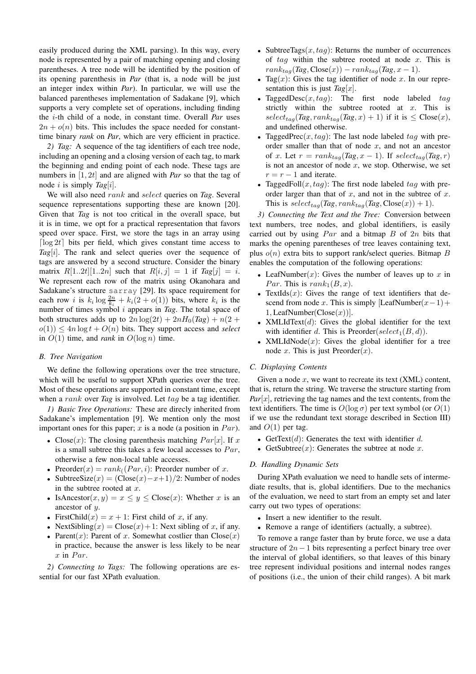easily produced during the XML parsing). In this way, every node is represented by a pair of matching opening and closing parentheses. A tree node will be identified by the position of its opening parenthesis in *Par* (that is, a node will be just an integer index within *Par*). In particular, we will use the balanced parentheses implementation of Sadakane [9], which supports a very complete set of operations, including finding the i-th child of a node, in constant time. Overall *Par* uses  $2n + o(n)$  bits. This includes the space needed for constanttime binary *rank* on *Par*, which are very efficient in practice.

*2) Tag:* A sequence of the tag identifiers of each tree node, including an opening and a closing version of each tag, to mark the beginning and ending point of each node. These tags are numbers in [1, 2t] and are aligned with *Par* so that the tag of node i is simply *Tag*[i].

We will also need rank and select queries on *Tag*. Several sequence representations supporting these are known [20]. Given that *Tag* is not too critical in the overall space, but it is in time, we opt for a practical representation that favors speed over space. First, we store the tags in an array using  $\lceil \log 2t \rceil$  bits per field, which gives constant time access to *Tag*[i]. The rank and select queries over the sequence of tags are answered by a second structure. Consider the binary matrix  $R[1..2t][1..2n]$  such that  $R[i, j] = 1$  if  $Tag[j] = i$ . We represent each row of the matrix using Okanohara and Sadakane's structure sarray [29]. Its space requirement for each row *i* is  $k_i \log \frac{2n}{k_i} + k_i(2 + o(1))$  bits, where  $k_i$  is the number of times symbol i appears in *Tag*. The total space of both structures adds up to  $2n \log(2t) + 2nH_0(Tag) + n(2 +$  $o(1)$ )  $\leq 4n \log t + O(n)$  bits. They support access and *select* in  $O(1)$  time, and *rank* in  $O(\log n)$  time.

# *B. Tree Navigation*

We define the following operations over the tree structure, which will be useful to support XPath queries over the tree. Most of these operations are supported in constant time, except when a rank over *Tag* is involved. Let tag be a tag identifier.

*1) Basic Tree Operations:* These are direcly inherited from Sadakane's implementation [9]. We mention only the most important ones for this paper; x is a node (a position in  $Par$ ).

- Close $(x)$ : The closing parenthesis matching  $Par[x]$ . If x is a small subtree this takes a few local accesses to  $Par$ , otherwise a few non-local table accesses.
- Preorder(x) =  $rank(Par, i)$ : Preorder number of x.
- SubtreeSize $(x) = (\text{Close}(x) x + 1)/2$ : Number of nodes in the subtree rooted at  $x$ .
- IsAncestor $(x, y) = x \leq y \leq \text{Close}(x)$ : Whether x is an ancestor of y.
- FirstChild $(x) = x + 1$ : First child of x, if any.
- NextSibling(x) = Close(x) + 1: Next sibling of x, if any.
- Parent $(x)$ : Parent of x. Somewhat costlier than  $Cose(x)$ in practice, because the answer is less likely to be near  $x$  in  $Par.$

*2) Connecting to Tags:* The following operations are essential for our fast XPath evaluation.

- SubtreeTags $(x, tag)$ : Returns the number of occurrences of tag within the subtree rooted at node  $x$ . This is  $rank_{tag}(Tag, Close(x)) - rank_{tag}(Tag, x - 1).$
- Tag $(x)$ : Gives the tag identifier of node x. In our representation this is just *Tag*[x].
- Tagged $\text{Desc}(x, tag)$ : The first node labeled  $tag$ strictly within the subtree rooted at  $x$ . This is  $select_{tag}(Tag, rank_{tag}(Tag, x) + 1)$  if it is  $\leq$  Close $(x)$ , and undefined otherwise.
- TaggedPrec $(x, taq)$ : The last node labeled  $taq$  with preorder smaller than that of node  $x$ , and not an ancestor of x. Let  $r = rank_{tag}(Tag, x - 1)$ . If  $select_{tag}(Tag, r)$ is not an ancestor of node  $x$ , we stop. Otherwise, we set  $r = r - 1$  and iterate.
- TaggedFoll $(x, taq)$ : The first node labeled  $taq$  with preorder larger than that of  $x$ , and not in the subtree of  $x$ . This is  $select_{tag}(Tag, rank_{tag}(Tag, Close(x)) + 1).$

*3) Connecting the Text and the Tree:* Conversion between text numbers, tree nodes, and global identifiers, is easily carried out by using  $Par$  and a bitmap  $B$  of  $2n$  bits that marks the opening parentheses of tree leaves containing text, plus  $o(n)$  extra bits to support rank/select queries. Bitmap B enables the computation of the following operations:

- LeafNumber $(x)$ : Gives the number of leaves up to x in Par. This is  $rank_1(B, x)$ .
- TextIds $(x)$ : Gives the range of text identifiers that descend from node x. This is simply [LeafNumber $(x-1)+$ 1, LeafNumber( $Close(x)$ ).
- XMLIdText $(d)$ : Gives the global identifier for the text with identifier d. This is Preorder(select<sub>1</sub>(B, d)).
- XMLIdNode $(x)$ : Gives the global identifier for a tree node x. This is just Preorder $(x)$ .

#### *C. Displaying Contents*

Given a node  $x$ , we want to recreate its text (XML) content, that is, return the string. We traverse the structure starting from *Par*[x], retrieving the tag names and the text contents, from the text identifiers. The time is  $O(\log \sigma)$  per text symbol (or  $O(1)$ ) if we use the redundant text storage described in Section III) and  $O(1)$  per tag.

- GetText(d): Generates the text with identifier d.
- GetSubtree $(x)$ : Generates the subtree at node x.

#### *D. Handling Dynamic Sets*

During XPath evaluation we need to handle sets of intermediate results, that is, global identifiers. Due to the mechanics of the evaluation, we need to start from an empty set and later carry out two types of operations:

- Insert a new identifier to the result.
- Remove a range of identifiers (actually, a subtree).

To remove a range faster than by brute force, we use a data structure of  $2n-1$  bits representing a perfect binary tree over the interval of global identifiers, so that leaves of this binary tree represent individual positions and internal nodes ranges of positions (i.e., the union of their child ranges). A bit mark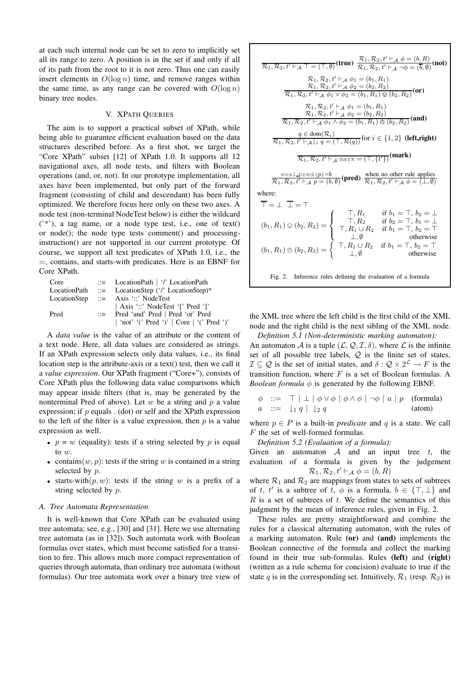at each such internal node can be set to zero to implicitly set all its range to zero. A position is in the set if and only if all of its path from the root to it is not zero. Thus one can easily insert elements in  $O(\log n)$  time, and remove ranges within the same time, as any range can be covered with  $O(\log n)$ binary tree nodes.

# V. XPATH QUERIES

The aim is to support a practical subset of XPath, while being able to guarantee efficient evaluation based on the data structures described before. As a first shot, we target the "Core XPath" subset [12] of XPath 1.0. It supports all 12 navigational axes, all node tests, and filters with Boolean operations (and, or, not). In our prototype implementation, all axes have been implemented, but only part of the forward fragment (consisting of child and descendant) has been fully optimized. We therefore focus here only on these two axes. A node test (non-terminal NodeTest below) is either the wildcard  $('*)$ , a tag name, or a node type test, i.e., one of text() or node(); the node type tests comment() and processinginstruction() are not supported in our current prototype. Of course, we support all text predicates of XPath 1.0, i.e., the =, contains, and starts-with predicates. Here is an EBNF for Core XPath.

| Core         |                           | $\therefore$ Location Path   '/' Location Path       |  |  |  |  |  |  |  |  |  |
|--------------|---------------------------|------------------------------------------------------|--|--|--|--|--|--|--|--|--|
| LocationPath |                           | $\therefore$ LocationStep ('/' LocationStep)*        |  |  |  |  |  |  |  |  |  |
| LocationStep |                           | $ ::=$ Axis ": Node Test"                            |  |  |  |  |  |  |  |  |  |
|              |                           | Axis '::' NodeTest '[' Pred ']'                      |  |  |  |  |  |  |  |  |  |
| Pred         | $\mathbb{C} = \mathbb{C}$ | Pred 'and' Pred   Pred 'or' Pred                     |  |  |  |  |  |  |  |  |  |
|              |                           | 'not' '(' Pred ')' $\vert$ Core $\vert$ '(' Pred ')' |  |  |  |  |  |  |  |  |  |

A *data value* is the value of an attribute or the content of a text node. Here, all data values are considered as strings. If an XPath expression selects only data values, i.e., its final location step is the attribute-axis or a text() test, then we call it a *value expression*. Our XPath fragment ("Core+"), consists of Core XPath plus the following data value comparisons which may appear inside filters (that is, may be generated by the nonterminal Pred of above). Let  $w$  be a string and  $p$  a value expression; if  $p$  equals . (dot) or self and the XPath expression to the left of the filter is a value expression, then  $p$  is a value expression as well.

- $p = w$  (equality): tests if a string selected by p is equal to w.
- contains $(w, p)$ : tests if the string w is contained in a string selected by  $p$ .
- starts-with $(p, w)$ : tests if the string w is a prefix of a string selected by  $p$ .

#### *A. Tree Automata Representation*

It is well-known that Core XPath can be evaluated using tree automata; see, e.g., [30] and [31]. Here we use alternating tree automata (as in [32]). Such automata work with Boolean formulas over states, which must become satisfied for a transition to fire. This allows much more compact representation of queries through automata, than ordinary tree automata (without formulas). Our tree automata work over a binary tree view of

$$
\overline{\mathcal{R}}_1, \overline{\mathcal{R}}_2, t' \vdash_{\mathcal{A}} \top = (\top, \emptyset) \text{ (true)} \quad \overline{\mathcal{R}}_1, \overline{\mathcal{R}}_2, t' \vdash_{\mathcal{A}} \phi = (b, R) \quad \text{(not)}
$$
\n
$$
\mathcal{R}_1, \mathcal{R}_2, t' \vdash_{\mathcal{A}} \phi_1 = (b_1, R_1)
$$
\n
$$
\mathcal{R}_1, \mathcal{R}_2, t' \vdash_{\mathcal{A}} \phi_1 = (b_1, R_1)
$$
\n
$$
\mathcal{R}_1, \mathcal{R}_2, t' \vdash_{\mathcal{A}} \phi_1 = (b_1, R_1)
$$
\n
$$
\mathcal{R}_1, \mathcal{R}_2, t' \vdash_{\mathcal{A}} \phi_1 \lor \phi_2 = (b_1, R_1) \quad \mathcal{Q}(b_2, R_2) \quad \text{(or)}
$$
\n
$$
\mathcal{R}_1, \mathcal{R}_2, t' \vdash_{\mathcal{A}} \phi_1 = (b_1, R_1)
$$
\n
$$
\mathcal{R}_1, \mathcal{R}_2, t' \vdash_{\mathcal{A}} \phi_1 = (b_1, R_1)
$$
\n
$$
\mathcal{R}_1, \mathcal{R}_2, t' \vdash_{\mathcal{A}} \phi_1 \land \phi_2 = (b_1, R_1) \otimes (b_2, R_2) \quad \text{(and)}
$$
\n
$$
\mathcal{q} \in \text{dom}(\mathcal{R}_i)
$$
\n
$$
\mathcal{R}_1, \mathcal{R}_2, t' \vdash_{\mathcal{A}} \phi_1 \land \phi_2 = (b_1, R_1) \otimes (b_2, R_2) \quad \text{(and)}
$$
\n
$$
\mathcal{q} \in \text{dom}(\mathcal{R}_i)
$$
\n
$$
\mathcal{R}_1, \mathcal{R}_2, t' \vdash_{\mathcal{A}} \phi_1 = (\top, \mathcal{R}(q)) \quad \text{for } i \in \{1, 2\} \quad \text{(left, right)}
$$
\n
$$
\mathcal{R}_1, \mathcal{R}_2, t' \vdash_{\mathcal{A}} \phi_
$$

the XML tree where the left child is the first child of the XML node and the right child is the next sibling of the XML node.

*Definition 5.1 (Non-deterministic marking automaton):* An automaton A is a tuple  $(\mathcal{L}, \mathcal{Q}, \mathcal{I}, \delta)$ , where  $\mathcal L$  is the infinite set of all possible tree labels,  $Q$  is the finite set of states,  $\mathcal{I} \subseteq \mathcal{Q}$  is the set of initial states, and  $\delta : \mathcal{Q} \times 2^{\mathcal{L}} \to F$  is the transition function, where  $F$  is a set of Boolean formulas. A *Boolean formula*  $\phi$  is generated by the following EBNF.

$$
\begin{array}{ll}\n\phi & ::= & \top \mid \bot \mid \phi \lor \phi \mid \phi \land \phi \mid \neg \phi \mid a \mid p \quad \text{(formula)} \\
a & ::= & \downarrow_1 q \mid \downarrow_2 q \quad \text{(atom)}\n\end{array}
$$

where  $p \in P$  is a built-in *predicate* and q is a state. We call F the set of well-formed formulas.

*Definition 5.2 (Evaluation of a formula):*

Given an automaton  $A$  and an input tree  $t$ , the evaluation of a formula is given by the judgement  $\mathcal{R}_1, \mathcal{R}_2, t' \vdash_{\mathcal{A}} \phi = (b, R)$ 

where  $\mathcal{R}_1$  and  $\mathcal{R}_2$  are mappings from states to sets of subtrees of t, t' is a subtree of t,  $\phi$  is a formula,  $b \in \{\top, \bot\}$  and  $R$  is a set of subtrees of  $t$ . We define the semantics of this judgment by the mean of inference rules, given in Fig. 2.

These rules are pretty straightforward and combine the rules for a classical alternating automaton, with the rules of a marking automaton. Rule **(or)** and **(and)** implements the Boolean connective of the formula and collect the marking found in their true sub-formulas. Rules **(left)** and **(right)** (written as a rule schema for concision) evaluate to true if the state q is in the corresponding set. Intuitively,  $\mathcal{R}_1$  (resp.  $\mathcal{R}_2$ ) is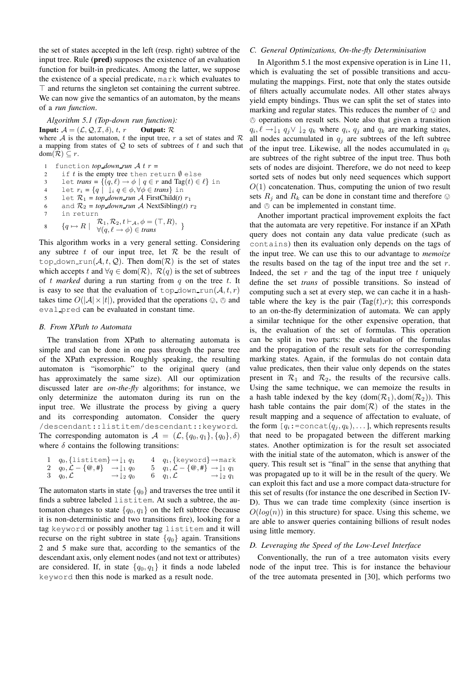the set of states accepted in the left (resp. right) subtree of the input tree. Rule **(pred)** supposes the existence of an evaluation function for built-in predicates. Among the latter, we suppose the existence of a special predicate, mark which evaluates to ⊤ and returns the singleton set containing the current subtree. We can now give the semantics of an automaton, by the means of a *run function*.

*Algorithm 5.1 (Top-down run function):* **Input:**  $A = (\mathcal{L}, \mathcal{Q}, \mathcal{I}, \delta), t, r$  **Output:**  $\mathcal{R}$ where  $A$  is the automaton,  $t$  the input tree,  $r$  a set of states and  $R$ a mapping from states of  $Q$  to sets of subtrees of t and such that dom $(\mathcal{R}) \subseteq r$ .

1 function  $top\_down\_run A t r =$ 

2 if t is the empty tree then return  $\emptyset$  else

3 let *trans* = {
$$
(q, \ell) \rightarrow \phi \mid q \in r
$$
 and Tag( $t$ )  $\in \ell$ } in

- 4 let  $r_i = \{q \mid \downarrow_i q \in \phi, \forall \phi \in trans\}$  in
- 5 let  $\mathcal{R}_1$  = *top\_down\_run* A FirstChild(*t*)  $r_1$ 6 and  $\mathcal{R}_2$  = *top\_down\_run* A NextSibling(*t*)  $r_2$
- 

$$
7 \quad \text{in return} \quad \mathcal{D} \quad \mathcal{I}
$$

8 
$$
\{q \mapsto R \mid \mathcal{R}_1, \mathcal{R}_2, t \vdash_{\mathcal{A}}, \phi = (\top, R),
$$
  

$$
\forall (q, \ell \rightarrow \phi) \in trans
$$

This algorithm works in a very general setting. Considering any subtree t of our input tree, let  $R$  be the result of top down run $(A, t, Q)$ . Then dom $(R)$  is the set of states which accepts t and  $\forall q \in \text{dom}(\mathcal{R})$ ,  $\mathcal{R}(q)$  is the set of subtrees of  $t$  *marked* during a run starting from  $q$  on the tree  $t$ . It is easy to see that the evaluation of top down run( $A, t, r$ ) takes time  $O(|A| \times |t|)$ , provided that the operations  $\otimes$ ,  $\otimes$  and eval pred can be evaluated in constant time.

#### *B. From XPath to Automata*

The translation from XPath to alternating automata is simple and can be done in one pass through the parse tree of the XPath expression. Roughly speaking, the resulting automaton is "isomorphic" to the original query (and has approximately the same size). All our optimization discussed later are *on-the-fly* algorithms; for instance, we only determinize the automaton during its run on the input tree. We illustrate the process by giving a query and its corresponding automaton. Consider the query /descendant::listitem/descendant::keyword. The corresponding automaton is  $A = (\mathcal{L}, \{q_0, q_1\}, \{q_0\}, \delta)$ where  $\delta$  contains the following transitions:

$$
\begin{array}{ccccccccc}\n1 & q_0, \{ \text{listitem} \} \rightarrow \downarrow_1 q_1 & 4 & q_1, \{ \text{keyword} \} \rightarrow \text{mark} \\
2 & q_0, \mathcal{L} - \{ \textcircled{\scriptsize{e}}, \text{\#} \} & \rightarrow \downarrow_1 q_0 & 5 & q_1, \mathcal{L} - \{ \textcircled{\scriptsize{e}}, \text{\#} \} \rightarrow \downarrow_1 q_1 \\
3 & q_0, \mathcal{L} & \rightarrow \downarrow_2 q_0 & 6 & q_1, \mathcal{L} & \rightarrow \downarrow_2 q_1\n\end{array}
$$

The automaton starts in state  ${q_0}$  and traverses the tree until it finds a subtree labeled listitem. At such a subtree, the automaton changes to state  $\{q_0, q_1\}$  on the left subtree (because it is non-deterministic and two transitions fire), looking for a tag keyword or possibly another tag listitem and it will recurse on the right subtree in state  $\{q_0\}$  again. Transitions 2 and 5 make sure that, according to the semantics of the descendant axis, only element nodes (and not text or attributes) are considered. If, in state  $\{q_0, q_1\}$  it finds a node labeled keyword then this node is marked as a result node.

# *C. General Optimizations, On-the-fly Determinisation*

In Algorithm 5.1 the most expensive operation is in Line 11, which is evaluating the set of possible transitions and accumulating the mappings. First, note that only the states outside of filters actually accumulate nodes. All other states always yield empty bindings. Thus we can split the set of states into marking and regular states. This reduces the number of  $\oslash$  and ? operations on result sets. Note also that given a transition  $q_i, \ell \rightarrow \downarrow_1 q_j \vee \downarrow_2 q_k$  where  $q_i, q_j$  and  $q_k$  are marking states, all nodes accumulated in  $q_i$  are subtrees of the left subtree of the input tree. Likewise, all the nodes accumulated in  $q_k$ are subtrees of the right subtree of the input tree. Thus both sets of nodes are disjoint. Therefore, we do not need to keep sorted sets of nodes but only need sequences which support  $O(1)$  concatenation. Thus, computing the union of two result sets  $R_j$  and  $R_k$  can be done in constant time and therefore  $\oslash$ and  $\oslash$  can be implemented in constant time.

Another important practical improvement exploits the fact that the automata are very repetitive. For instance if an XPath query does not contain any data value predicate (such as contains) then its evaluation only depends on the tags of the input tree. We can use this to our advantage to *memoize* the results based on the tag of the input tree and the set  $r$ . Indeed, the set  $r$  and the tag of the input tree  $t$  uniquely define the set *trans* of possible transitions. So instead of computing such a set at every step, we can cache it in a hashtable where the key is the pair  $(Tag(t),r)$ ; this corresponds to an on-the-fly determinization of automata. We can apply a similar technique for the other expensive operation, that is, the evaluation of the set of formulas. This operation can be split in two parts: the evaluation of the formulas and the propagation of the result sets for the corresponding marking states. Again, if the formulas do not contain data value predicates, then their value only depends on the states present in  $\mathcal{R}_1$  and  $\mathcal{R}_2$ , the results of the recursive calls. Using the same technique, we can memoize the results in a hash table indexed by the key  $(\text{dom}(\mathcal{R}_1), \text{dom}(\mathcal{R}_2))$ . This hash table contains the pair dom $(\mathcal{R})$  of the states in the result mapping and a sequence of affectation to evaluate, of the form  $[q_i:=\text{concat}(q_i, q_k), \dots]$ , which represents results that need to be propagated between the different marking states. Another optimization is for the result set associated with the initial state of the automaton, which is answer of the query. This result set is "final" in the sense that anything that was propagated up to it will be in the result of the query. We can exploit this fact and use a more compact data-structure for this set of results (for instance the one described in Section IV-D). Thus we can trade time complexity (since insertion is  $O(log(n))$  in this structure) for space. Using this scheme, we are able to answer queries containing billions of result nodes using little memory.

#### *D. Leveraging the Speed of the Low-Level Interface*

Conventionally, the run of a tree automaton visits every node of the input tree. This is for instance the behaviour of the tree automata presented in [30], which performs two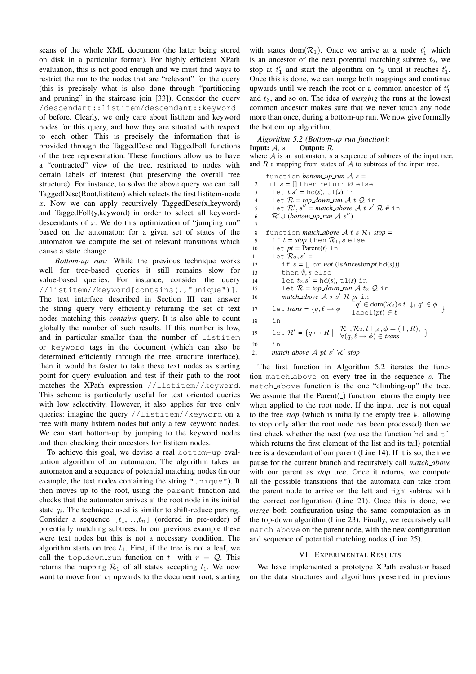scans of the whole XML document (the latter being stored on disk in a particular format). For highly efficient XPath evaluation, this is not good enough and we must find ways to restrict the run to the nodes that are "relevant" for the query (this is precisely what is also done through "partitioning and pruning" in the staircase join [33]). Consider the query /descendant::listitem/descendant::keyword of before. Clearly, we only care about listitem and keyword nodes for this query, and how they are situated with respect to each other. This is precisely the information that is provided through the TaggedDesc and TaggedFoll functions of the tree representation. These functions allow us to have a "contracted" view of the tree, restricted to nodes with certain labels of interest (but preserving the overall tree structure). For instance, to solve the above query we can call TaggedDesc(Root,listitem) which selects the first listitem-node x. Now we can apply recursively TaggedDesc(x, keyword) and TaggedFoll(y,keyword) in order to select all keyworddescendants of  $x$ . We do this optimization of "jumping run" based on the automaton: for a given set of states of the automaton we compute the set of relevant transitions which cause a state change.

*Bottom-up run:* While the previous technique works well for tree-based queries it still remains slow for value-based queries. For instance, consider the query //listitem//keyword[contains(.,"Unique")]. The text interface described in Section III can answer the string query very efficiently returning the set of text nodes matching this *contains* query. It is also able to count globally the number of such results. If this number is low, and in particular smaller than the number of listitem or keyword tags in the document (which can also be determined efficiently through the tree structure interface), then it would be faster to take these text nodes as starting point for query evaluation and test if their path to the root matches the XPath expression //listitem//keyword. This scheme is particularly useful for text oriented queries with low selectivity. However, it also applies for tree only queries: imagine the query //listitem//keyword on a tree with many listitem nodes but only a few keyword nodes. We can start bottom-up by jumping to the keyword nodes and then checking their ancestors for listitem nodes.

To achieve this goal, we devise a real bottom-up evaluation algorithm of an automaton. The algorithm takes an automaton and a sequence of potential matching nodes (in our example, the text nodes containing the string "Unique"). It then moves up to the root, using the parent function and checks that the automaton arrives at the root node in its initial state  $q_i$ . The technique used is similar to shift-reduce parsing. Consider a sequence  $[t_1, \ldots, t_n]$  (ordered in pre-order) of potentially matching subtrees. In our previous example these were text nodes but this is not a necessary condition. The algorithm starts on tree  $t_1$ . First, if the tree is not a leaf, we call the top down run function on  $t_1$  with  $r = Q$ . This returns the mapping  $\mathcal{R}_1$  of all states accepting  $t_1$ . We now want to move from  $t_1$  upwards to the document root, starting

with states dom $(\mathcal{R}_1)$ . Once we arrive at a node  $t'_1$  which is an ancestor of the next potential matching subtree  $t_2$ , we stop at  $t'_1$  and start the algorithm on  $t_2$  until it reaches  $t'_1$ . Once this is done, we can merge both mappings and continue upwards until we reach the root or a common ancestor of  $t_1$ and  $t_3$ , and so on. The idea of *merging* the runs at the lowest common ancestor makes sure that we never touch any node more than once, during a bottom-up run. We now give formally the bottom up algorithm.

*Algorithm 5.2 (Bottom-up run function):*

#### **Input:** A, s **Output:** R

where  $A$  is an automaton,  $s$  a sequence of subtrees of the input tree, and R a mapping from states of  $\tilde{\mathcal{A}}$  to subtrees of the input tree.

```
1 function bottom_up_run A s =2 if s = [] then return \emptyset else
 3 let t,s' = hd(s), t l(s) in
4 let R = top\_down\_run A t Q in5 let \mathcal{R}', s'' = match\_above \mathcal{A} \text{ } t \text{ } s' \mathcal{R} \text{ } # \text{ } \text{in}6 \mathcal{R}' \cup (bottom\_up\_run \; \mathcal{A} \; s'')7
8 function match_above \mathcal{A} t s \mathcal{R}_1 stop =
9 if t = stop then \mathcal{R}_1, s else
10 let pt = Parent(t) in
11 let \mathcal{R}_2, s' =
12 if s = [] or not (IsAncestor(pt, hd(s)))
13 then \emptyset, selse
14 let t_2, s' = hd(s), t_1(s) in
15 let R = top\_down\_run A t_2 Q in16 match above A 2 s
′ R pt in
17 let trans = \{q, \ell \to \phi \mid \begin{array}{c} \exists q' \in dom(\mathcal{R}_i)s.t. \downarrow_i q' \in \phi \\ l \text{ abol}(m) \in \ell \end{array} \right)\begin{array}{l}\n\exists q \in \text{dom}(\mathcal{M}) \text{ s.t. } \{i \mid q \in \varphi\}\n\\ \n\text{label}(pt) \in \ell\n\end{array}18 in
19 let \mathcal{R}' = \{q \mapsto R \mid \begin{array}{c} \mathcal{R}_1, \mathcal{R}_2, t \vdash_{\mathcal{A}}, \phi = (\top, R), \\ \forall (q, \ell \rightarrow \phi) \in trans \end{array} \}20 in
21 match above A pt s′ R′
stop
```
The first function in Algorithm 5.2 iterates the function match above on every tree in the sequence s. The match above function is the one "climbing-up" the tree. We assume that the Parent $(\_)$  function returns the empty tree when applied to the root node. If the input tree is not equal to the tree *stop* (which is initially the empty tree #, allowing to stop only after the root node has been processed) then we first check whether the next (we use the function hd and  $t \perp$ which returns the first element of the list and its tail) potential tree is a descendant of our parent (Line 14). If it is so, then we pause for the current branch and recursively call *match above* with our parent as *stop* tree. Once it returns, we compute all the possible transitions that the automata can take from the parent node to arrive on the left and right subtree with the correct configuration (Line 21). Once this is done, we *merge* both configuration using the same computation as in the top-down algorithm (Line 23). Finally, we recursively call match above on the parent node, with the new configuration and sequence of potential matching nodes (Line 25).

#### VI. EXPERIMENTAL RESULTS

We have implemented a prototype XPath evaluator based on the data structures and algorithms presented in previous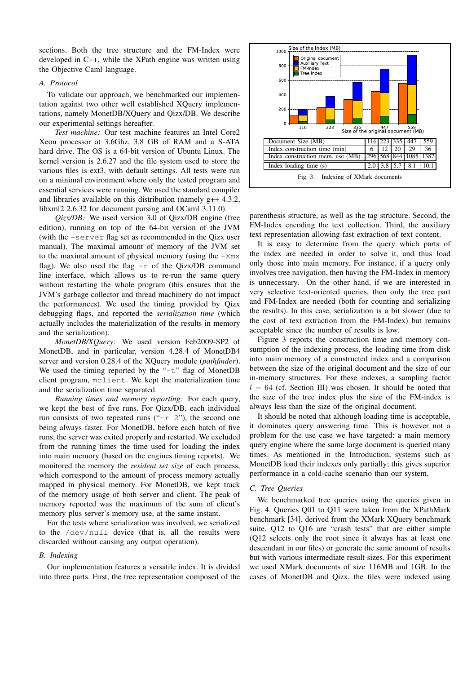sections. Both the tree structure and the FM-Index were developed in C++, while the XPath engine was written using the Objective Caml language.

# *A. Protocol*

To validate our approach, we benchmarked our implementation against two other well established XQuery implementations, namely MonetDB/XQuery and Qizx/DB. We describe our experimental settings hereafter.

*Test machine:* Our test machine features an Intel Core2 Xeon processor at 3.6Ghz, 3.8 GB of RAM and a S-ATA hard drive. The OS is a 64-bit version of Ubuntu Linux. The kernel version is 2.6.27 and the file system used to store the various files is ext3, with default settings. All tests were run on a minimal environment where only the tested program and essential services were running. We used the standard compiler and libraries available on this distribution (namely g++ 4.3.2, libxml2 2.6.32 for document parsing and OCaml 3.11.0).

*Qizx/DB:* We used version 3.0 of Qizx/DB engine (free edition), running on top of the 64-bit version of the JVM (with the -server flag set as recommended in the Qizx user manual). The maximal amount of memory of the JVM set to the maximal amount of physical memory (using the  $-\text{Xmx}$ ) flag). We also used the flag  $-r$  of the Qizx/DB command line interface, which allows us to re-run the same query without restarting the whole program (this ensures that the JVM's garbage collector and thread machinery do not impact the performances). We used the timing provided by Qizx debugging flags, and reported the *serialization time* (which actually includes the materialization of the results in memory and the serialization).

*MonetDB/XQuery:* We used version Feb2009-SP2 of MonetDB, and in particular, version 4.28.4 of MonetDB4 server and version 0.28.4 of the XQuery module (*pathfinder*). We used the timing reported by the " $-t$ " flag of MonetDB client program, mclient. We kept the materialization time and the serialization time separated.

*Running times and memory reporting:* For each query, we kept the best of five runs. For Qizx/DB, each individual run consists of two repeated runs (" $-r$  2"), the second one being always faster. For MonetDB, before each batch of five runs, the server was exited properly and restarted. We excluded from the running times the time used for loading the index into main memory (based on the engines timing reports). We monitored the memory the *resident set size* of each process, which correspond to the amount of process memory actually mapped in physical memory. For MonetDB, we kept track of the memory usage of both server and client. The peak of memory reported was the maximum of the sum of client's memory plus server's memory use, at the same instant.

For the tests where serialization was involved, we serialized to the /dev/null device (that is, all the results were discarded without causing any output operation).

### *B. Indexing*

Our implementation features a versatile index. It is divided into three parts. First, the tree representation composed of the



parenthesis structure, as well as the tag structure. Second, the FM-Index encoding the text collection. Third, the auxiliary text representation allowing fast extraction of text content.

It is easy to determine from the query which parts of the index are needed in order to solve it, and thus load only those into main memory. For instance, if a query only involves tree navigation, then having the FM-Index in memory is unnecessary. On the other hand, if we are interested in very selective text-oriented queries, then only the tree part and FM-Index are needed (both for counting and serializing the results). In this case, serialization is a bit slower (due to the cost of text extraction from the FM-Index) but remains acceptable since the number of results is low.

Figure 3 reports the construction time and memory consumption of the indexing process, the loading time from disk into main memory of a constructed index and a comparison between the size of the original document and the size of our in-memory structures. For these indexes, a sampling factor  $l = 64$  (cf. Section III) was chosen. It should be noted that the size of the tree index plus the size of the FM-index is always less than the size of the original document.

It should be noted that although loading time is acceptable, it dominates query answering time. This is however not a problem for the use case we have targeted: a main memory query engine where the same large document is queried many times. As mentioned in the Introduction, systems such as MonetDB load their indexes only partially; this gives superior performance in a cold-cache scenario than our system.

#### *C. Tree Queries*

We benchmarked tree queries using the queries given in Fig. 4. Queries Q01 to Q11 were taken from the XPathMark benchmark [34], derived from the XMark XQuery benchmark suite. Q12 to Q16 are "crash tests" that are either simple (Q12 selects only the root since it always has at least one descendant in our files) or generate the same amount of results but with various intermediate result sizes. For this experiment we used XMark documents of size 116MB and 1GB. In the cases of MonetDB and Qizx, the files were indexed using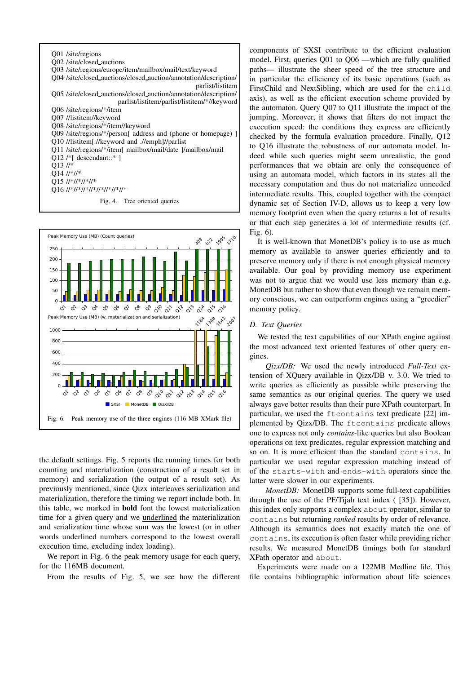



the default settings. Fig. 5 reports the running times for both counting and materialization (construction of a result set in memory) and serialization (the output of a result set). As previously mentioned, since Qizx interleaves serialization and materialization, therefore the timing we report include both. In this table, we marked in **bold** font the lowest materialization time for a given query and we underlined the materialization and serialization time whose sum was the lowest (or in other words underlined numbers correspond to the lowest overall execution time, excluding index loading).

We report in Fig. 6 the peak memory usage for each query, for the 116MB document.

From the results of Fig. 5, we see how the different

components of SXSI contribute to the efficient evaluation model. First, queries Q01 to Q06 —which are fully qualified paths— illustrate the sheer speed of the tree structure and in particular the efficiency of its basic operations (such as FirstChild and NextSibling, which are used for the child axis), as well as the efficient execution scheme provided by the automaton. Query Q07 to Q11 illustrate the impact of the jumping. Moreover, it shows that filters do not impact the execution speed: the conditions they express are efficiently checked by the formula evaluation procedure. Finally, Q12 to Q16 illustrate the robustness of our automata model. Indeed while such queries might seem unrealistic, the good performances that we obtain are only the consequence of using an automata model, which factors in its states all the necessary computation and thus do not materialize unneeded intermediate results. This, coupled together with the compact dynamic set of Section IV-D, allows us to keep a very low memory footprint even when the query returns a lot of results or that each step generates a lot of intermediate results (cf. Fig. 6).

It is well-known that MonetDB's policy is to use as much memory as available to answer queries efficiently and to preserve memory only if there is not enough physical memory available. Our goal by providing memory use experiment was not to argue that we would use less memory than e.g. MonetDB but rather to show that even though we remain memory conscious, we can outperform engines using a "greedier" memory policy.

# *D. Text Queries*

We tested the text capabilities of our XPath engine against the most advanced text oriented features of other query engines.

*Qizx/DB:* We used the newly introduced *Full-Text* extension of XQuery available in Qizx/DB v. 3.0. We tried to write queries as efficiently as possible while preserving the same semantics as our original queries. The query we used always gave better results than their pure XPath counterpart. In particular, we used the ftcontains text predicate [22] implemented by Qizx/DB. The ftcontains predicate allows one to express not only *contains*-like queries but also Boolean operations on text predicates, regular expression matching and so on. It is more efficient than the standard contains. In particular we used regular expression matching instead of of the starts-with and ends-with operators since the latter were slower in our experiments.

*MonetDB:* MonetDB supports some full-text capabilities through the use of the PF/Tijah text index ( [35]). However, this index only supports a complex about operator, similar to contains but returning *ranked* results by order of relevance. Although its semantics does not exactly match the one of contains, its execution is often faster while providing richer results. We measured MonetDB timings both for standard XPath operator and about.

Experiments were made on a 122MB Medline file. This file contains bibliographic information about life sciences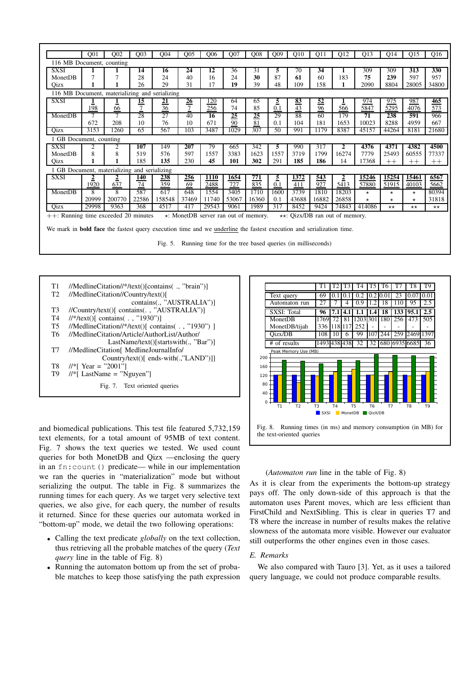|                                                | Q01                                                                                                                                 | Q <sub>02</sub> | Q <sub>03</sub> | Q04       | Q <sub>05</sub> | Q06   | Q07       | Q <sub>08</sub> | Q <sub>09</sub> | Q <sub>10</sub> | Q11       | Q12            | Q13        | Q14          | Q15          | Q16             |
|------------------------------------------------|-------------------------------------------------------------------------------------------------------------------------------------|-----------------|-----------------|-----------|-----------------|-------|-----------|-----------------|-----------------|-----------------|-----------|----------------|------------|--------------|--------------|-----------------|
| 116 MB Document, counting                      |                                                                                                                                     |                 |                 |           |                 |       |           |                 |                 |                 |           |                |            |              |              |                 |
| SXSI                                           |                                                                                                                                     |                 | 14              | 16        | 24              | 12    | 36        | 31              | 5               | 70              | 34        |                | 309        | 309          | 313          | 330             |
| MonetDB                                        |                                                                                                                                     |                 | 28              | 24        | 40              | 16    | 24        | 30              | 87              | 61              | 60        | 183            | 75         | 239          | 597          | 957             |
| Qizx                                           |                                                                                                                                     | 1               | 26              | 29        | 31              | 17    | 19        | 39              | 48              | 109             | 158       | 1              | 2090       | 8804         | 28005        | 34800           |
| 116 MB Document, materializing and serializing |                                                                                                                                     |                 |                 |           |                 |       |           |                 |                 |                 |           |                |            |              |              |                 |
| SXSI                                           |                                                                                                                                     |                 | <u> 15</u>      | <u>21</u> | 26              | 120   | 64        | 65              | <u>ى</u>        | 83              | <u>52</u> |                | 974        | 975          | 987          | $\frac{465}{2}$ |
|                                                | 198                                                                                                                                 | 66              | $\mathcal{I}$   | <u>36</u> |                 | 256   | 74        | 85              | 0.1             | 43              | 96        | 566            | 5847       | 5295         | 4076         | 573             |
| MonetDB                                        |                                                                                                                                     |                 | 28              | 27        | 40              | 16    | <u>25</u> | $\overline{25}$ | 29              | 88              | 60        | 179            | 71         | 238          | 591          | 966             |
|                                                | 672                                                                                                                                 | 208             | 10              | 76        | 10              | 671   | 90        | 81              | 0.1             | 104             | 181       | 1653           | 10023      | 8288         | 4959         | 667             |
| Qizx                                           | 3153                                                                                                                                | 1260            | 65              | 567       | 103             | 3487  | 1029      | 307             | 50              | 991             | 1179      | 8387           | 45157      | 44264        | 8181         | 21680           |
|                                                | 1 GB Document, counting                                                                                                             |                 |                 |           |                 |       |           |                 |                 |                 |           |                |            |              |              |                 |
| SXSI                                           | $\mathcal{D}_{\mathcal{L}}$                                                                                                         |                 | 107             | 149       | 207             | 79    | 665       | 342             | 5               | 990             | 317       | 2              | 4376       | 4371         | 4382         | 4500            |
| MonetDB                                        | 8                                                                                                                                   | 8               | 519             | 576       | 597             | 1557  | 3383      | 1623            | 1557            | 3719            | 1799      | 16274          | 7779       | 25493        | 60555        | 77337           |
| Qizx                                           |                                                                                                                                     |                 | 185             | 135       | 230             | 45    | 101       | 302             | 291             | 185             | 186       | 14             | 17368      | $++$         | $++$         | $++$            |
| 1 GB Document, materializing and serializing   |                                                                                                                                     |                 |                 |           |                 |       |           |                 |                 |                 |           |                |            |              |              |                 |
| <b>SXSI</b>                                    |                                                                                                                                     |                 | 140             | 238       | 256             | 1110  | 1654      | 771             | 5               | 1372            | 543       | $\overline{2}$ | 15246      | 15254        | 15461        | 6567            |
|                                                | 1920                                                                                                                                | 637             | 74              | 359       | 69              | 2488  | 727       | 835             | 0.1             | 411             | 927       | 5413           | 57880      | 51915        | 40103        | 5662            |
| MonetDB                                        | 8                                                                                                                                   | 8               | 587             | 617       | 648             | 1554  | 3405      | 1710            | 1600            | 3739            | 1810      | 18203          | $^{\star}$ | $^\star$     | $^{\star}$   | 80394           |
|                                                | 20999                                                                                                                               | 200770          | 22586           | 158548    | 37469           | 11740 | 53067     | 16360           | 0.1             | 43688           | 16882     | 26858          | $\star$    | $^\star$     | $^{\star}$   | 31818           |
| Qizx                                           | 29998                                                                                                                               | 9363            | 368             | 4517      | 417             | 29543 | 9061      | 1989            | 317             | 8452            | 9424      | 74843          | 414086     | $\star\star$ | $\star\star$ | $\star\star$    |
|                                                | $\star\star$ : Oizx/DB ran out of memory.<br>$++$ : Running time exceeded 20 minutes<br>$\star$ : MonetDB server ran out of memory. |                 |                 |           |                 |       |           |                 |                 |                 |           |                |            |              |              |                 |

We mark in **bold face** the fastest query execution time and we **underline** the fastest execution and serialization time.

Fig. 5. Running time for the tree based queries (in milliseconds)



and biomedical publications. This test file featured 5,732,159 text elements, for a total amount of 95MB of text content. Fig. 7 shows the text queries we tested. We used count queries for both MonetDB and Qizx —enclosing the query in an fn: count () predicate— while in our implementation we ran the queries in "materialization" mode but without serializing the output. The table in Fig. 8 summarizes the running times for each query. As we target very selective text queries, we also give, for each query, the number of results it returned. Since for these queries our automata worked in "bottom-up" mode, we detail the two following operations:

- Calling the text predicate *globally* on the text collection, thus retrieving all the probable matches of the query (*Text query* line in the table of Fig. 8)
- Running the automaton bottom up from the set of probable matches to keep those satisfying the path expression



#### (*Automaton run* line in the table of Fig. 8)

As it is clear from the experiments the bottom-up strategy pays off. The only down-side of this approach is that the automaton uses Parent moves, which are less efficient than FirstChild and NextSibling. This is clear in queries T7 and T8 where the increase in number of results makes the relative slowness of the automata more visible. However our evaluator still outperforms the other engines even in those cases.

#### *E. Remarks*

We also compared with Tauro [3]. Yet, as it uses a tailored query language, we could not produce comparable results.